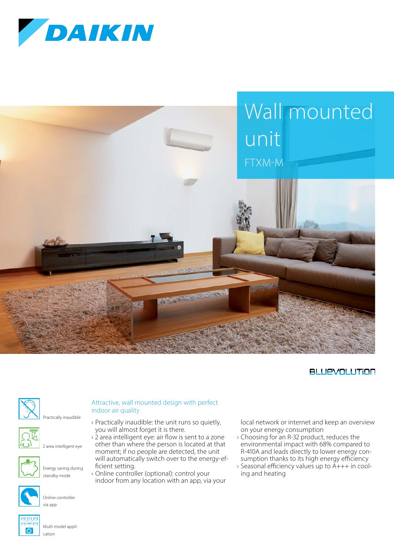



## **BLUEVOLUTION**







2 area intelligent eye



Energy saving during standby mode



Online controller via app

you will almost forget it is there.  $\frac{1}{2}$  area intelligent eye: air flow is sent to a zone other than where the person is located at that

moment; if no people are detected, the unit will automatically switch over to the energy-efficient setting.

› Practically inaudible: the unit runs so quietly,

› Online controller (optional): control your indoor from any location with an app, via your local network or internet and keep an overview on your energy consumption

- › Choosing for an R-32 product, reduces the environmental impact with 68% compared to R-410A and leads directly to lower energy consumption thanks to its high energy efficiency
- › Seasonal efficiency values up to A+++ in cooling and heating

Multi model application